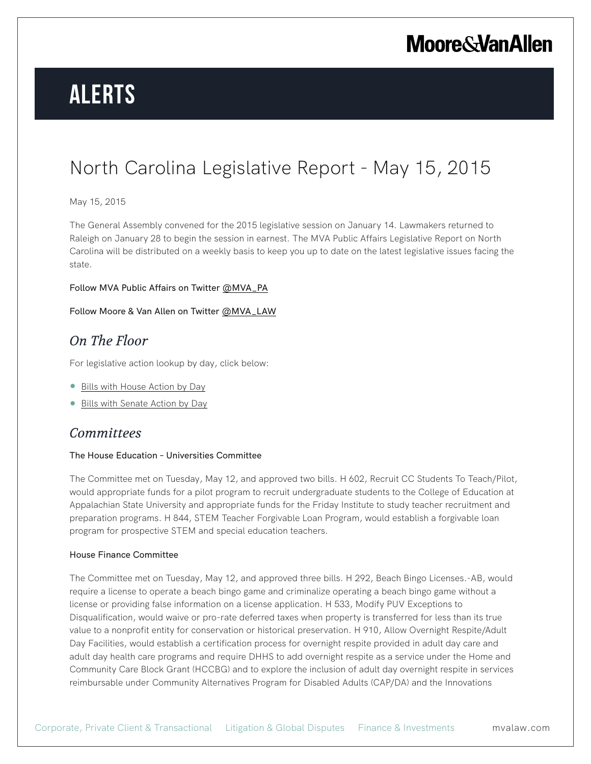## **Moore & Van Allen**

# **Alerts**

## North Carolina Legislative Report - May 15, 2015

#### May 15, 2015

The General Assembly convened for the 2015 legislative session on January 14. Lawmakers returned to Raleigh on January 28 to begin the session in earnest. The MVA Public Affairs Legislative Report on North Carolina will be distributed on a weekly basis to keep you up to date on the latest legislative issues facing the state.

#### Follow MVA Public Affairs on Twitter @MVA\_PA

#### Follow Moore & Van Allen on Twitter @MVA\_LAW

### *On The Floor*

For legislative action lookup by day, click below:

- Bills with House Action by Day
- Bills with Senate Action by Day

### *Committees*

#### The House Education – Universities Committee

The Committee met on Tuesday, May 12, and approved two bills. H 602, Recruit CC Students To Teach/Pilot, would appropriate funds for a pilot program to recruit undergraduate students to the College of Education at Appalachian State University and appropriate funds for the Friday Institute to study teacher recruitment and preparation programs. H 844, STEM Teacher Forgivable Loan Program, would establish a forgivable loan program for prospective STEM and special education teachers.

#### House Finance Committee

The Committee met on Tuesday, May 12, and approved three bills. H 292, Beach Bingo Licenses.-AB, would require a license to operate a beach bingo game and criminalize operating a beach bingo game without a license or providing false information on a license application. H 533, Modify PUV Exceptions to Disqualification, would waive or pro-rate deferred taxes when property is transferred for less than its true value to a nonprofit entity for conservation or historical preservation. H 910, Allow Overnight Respite/Adult Day Facilities, would establish a certification process for overnight respite provided in adult day care and adult day health care programs and require DHHS to add overnight respite as a service under the Home and Community Care Block Grant (HCCBG) and to explore the inclusion of adult day overnight respite in services reimbursable under Community Alternatives Program for Disabled Adults (CAP/DA) and the Innovations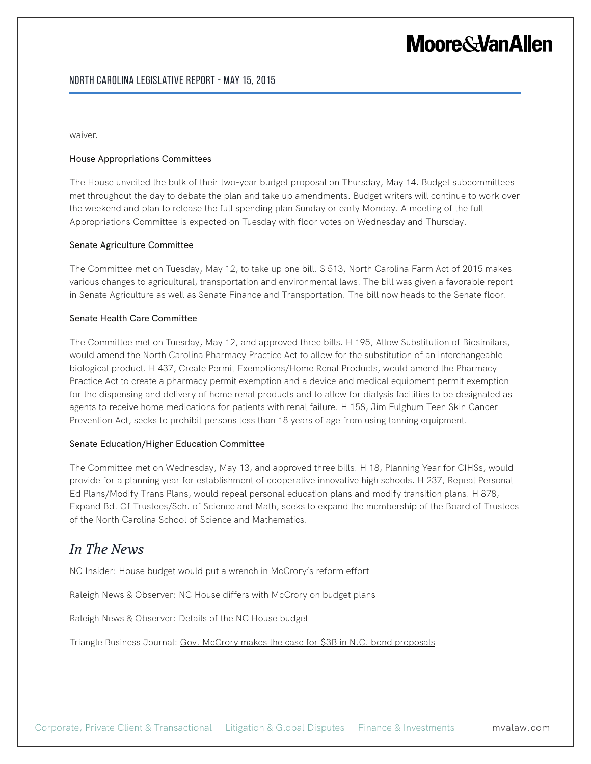## **Moore&VanAllen**

waiver.

#### House Appropriations Committees

The House unveiled the bulk of their two-year budget proposal on Thursday, May 14. Budget subcommittees met throughout the day to debate the plan and take up amendments. Budget writers will continue to work over the weekend and plan to release the full spending plan Sunday or early Monday. A meeting of the full Appropriations Committee is expected on Tuesday with floor votes on Wednesday and Thursday.

#### Senate Agriculture Committee

The Committee met on Tuesday, May 12, to take up one bill. S 513, North Carolina Farm Act of 2015 makes various changes to agricultural, transportation and environmental laws. The bill was given a favorable report in Senate Agriculture as well as Senate Finance and Transportation. The bill now heads to the Senate floor.

#### Senate Health Care Committee

The Committee met on Tuesday, May 12, and approved three bills. H 195, Allow Substitution of Biosimilars, would amend the North Carolina Pharmacy Practice Act to allow for the substitution of an interchangeable biological product. H 437, Create Permit Exemptions/Home Renal Products, would amend the Pharmacy Practice Act to create a pharmacy permit exemption and a device and medical equipment permit exemption for the dispensing and delivery of home renal products and to allow for dialysis facilities to be designated as agents to receive home medications for patients with renal failure. H 158, Jim Fulghum Teen Skin Cancer Prevention Act, seeks to prohibit persons less than 18 years of age from using tanning equipment.

#### Senate Education/Higher Education Committee

The Committee met on Wednesday, May 13, and approved three bills. H 18, Planning Year for CIHSs, would provide for a planning year for establishment of cooperative innovative high schools. H 237, Repeal Personal Ed Plans/Modify Trans Plans, would repeal personal education plans and modify transition plans. H 878, Expand Bd. Of Trustees/Sch. of Science and Math, seeks to expand the membership of the Board of Trustees of the North Carolina School of Science and Mathematics.

### *In The News*

NC Insider: House budget would put a wrench in McCrory's reform effort

Raleigh News & Observer: NC House differs with McCrory on budget plans

Raleigh News & Observer: Details of the NC House budget

Triangle Business Journal: Gov. McCrory makes the case for \$3B in N.C. bond proposals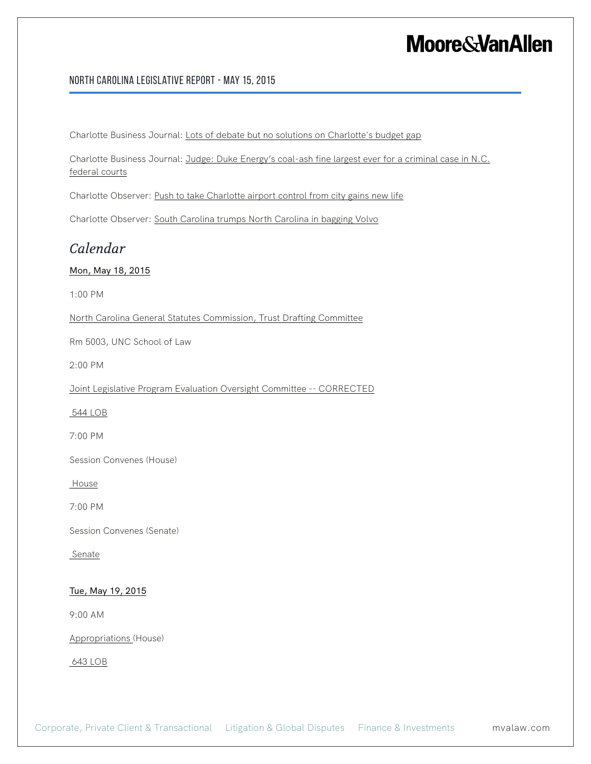## **Moore & Van Allen**

#### North Carolina Legislative Report - May 15, 2015

Charlotte Business Journal: Lots of debate but no solutions on Charlotte's budget gap

Charlotte Business Journal: Judge: Duke Energy's coal-ash fine largest ever for a criminal case in N.C. federal courts

Charlotte Observer: Push to take Charlotte airport control from city gains new life

Charlotte Observer: South Carolina trumps North Carolina in bagging Volvo

### *Calendar*

#### Mon, May 18, 2015

1:00 PM

North Carolina General Statutes Commission, Trust Drafting Committee

Rm 5003, UNC School of Law

2:00 PM

Joint Legislative Program Evaluation Oversight Committee -- CORRECTED

544 LOB

7:00 PM

Session Convenes (House)

House

7:00 PM

Session Convenes (Senate)

Senate

#### Tue, May 19, 2015

9:00 AM

Appropriations (House)

643 LOB